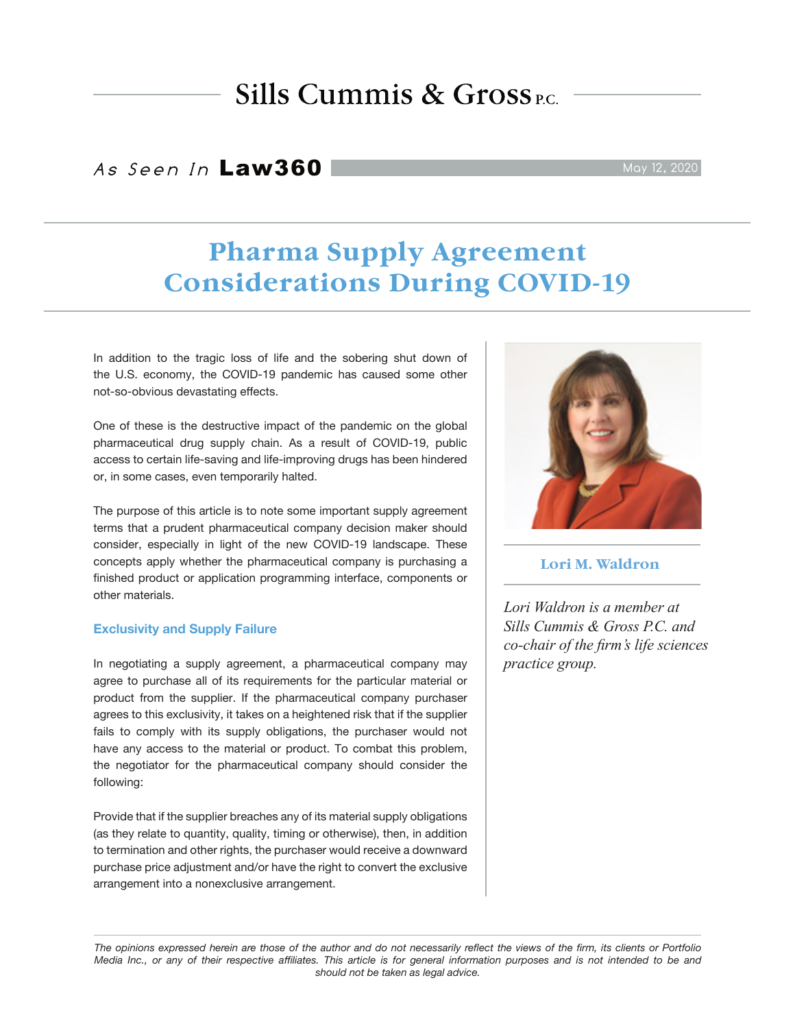# Sills Cummis &  $Gross_{EC}$

# As Seen In Law360

# **Pharma Supply Agreement Considerations During COVID-19**

In addition to the tragic loss of life and the sobering shut down of the U.S. economy, the COVID-19 pandemic has caused some other not-so-obvious devastating effects.

One of these is the destructive impact of the pandemic on the global pharmaceutical drug supply chain. As a result of COVID-19, public access to certain life-saving and life-improving drugs has been hindered or, in some cases, even temporarily halted.

The purpose of this article is to note some important supply agreement terms that a prudent pharmaceutical company decision maker should consider, especially in light of the new COVID-19 landscape. These concepts apply whether the pharmaceutical company is purchasing a finished product or application programming interface, components or other materials.

### **Exclusivity and Supply Failure**

In negotiating a supply agreement, a pharmaceutical company may agree to purchase all of its requirements for the particular material or product from the supplier. If the pharmaceutical company purchaser agrees to this exclusivity, it takes on a heightened risk that if the supplier fails to comply with its supply obligations, the purchaser would not have any access to the material or product. To combat this problem, the negotiator for the pharmaceutical company should consider the following:

Provide that if the supplier breaches any of its material supply obligations (as they relate to quantity, quality, timing or otherwise), then, in addition to termination and other rights, the purchaser would receive a downward purchase price adjustment and/or have the right to convert the exclusive arrangement into a nonexclusive arrangement.

**Lori M. Waldron**

*Lori Waldron is a member at Sills Cummis & Gross P.C. and co-chair of the firm's life sciences practice group.*

*The opinions expressed herein are those of the author and do not necessarily reflect the views of the firm, its clients or Portfolio Media Inc., or any of their respective affiliates. This article is for general information purposes and is not intended to be and should not be taken as legal advice.*



May 12, 2020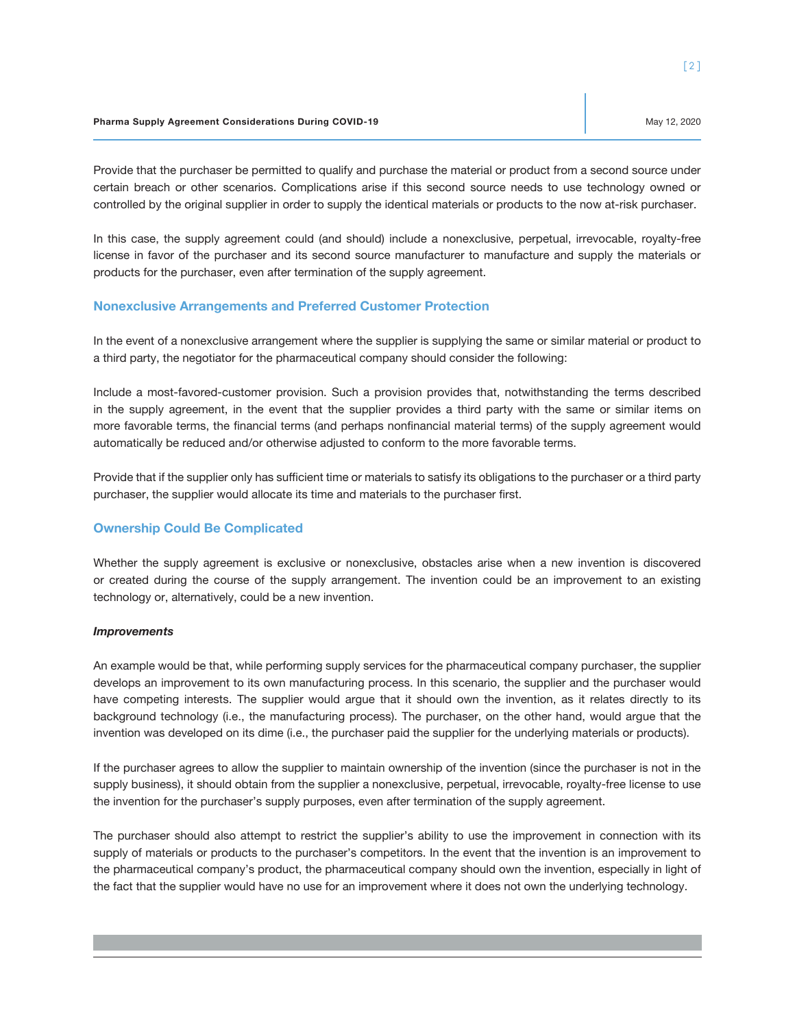Provide that the purchaser be permitted to qualify and purchase the material or product from a second source under certain breach or other scenarios. Complications arise if this second source needs to use technology owned or controlled by the original supplier in order to supply the identical materials or products to the now at-risk purchaser.

In this case, the supply agreement could (and should) include a nonexclusive, perpetual, irrevocable, royalty-free license in favor of the purchaser and its second source manufacturer to manufacture and supply the materials or products for the purchaser, even after termination of the supply agreement.

### **Nonexclusive Arrangements and Preferred Customer Protection**

In the event of a nonexclusive arrangement where the supplier is supplying the same or similar material or product to a third party, the negotiator for the pharmaceutical company should consider the following:

Include a most-favored-customer provision. Such a provision provides that, notwithstanding the terms described in the supply agreement, in the event that the supplier provides a third party with the same or similar items on more favorable terms, the financial terms (and perhaps nonfinancial material terms) of the supply agreement would automatically be reduced and/or otherwise adjusted to conform to the more favorable terms.

Provide that if the supplier only has sufficient time or materials to satisfy its obligations to the purchaser or a third party purchaser, the supplier would allocate its time and materials to the purchaser first.

## **Ownership Could Be Complicated**

Whether the supply agreement is exclusive or nonexclusive, obstacles arise when a new invention is discovered or created during the course of the supply arrangement. The invention could be an improvement to an existing technology or, alternatively, could be a new invention.

#### *Improvements*

An example would be that, while performing supply services for the pharmaceutical company purchaser, the supplier develops an improvement to its own manufacturing process. In this scenario, the supplier and the purchaser would have competing interests. The supplier would argue that it should own the invention, as it relates directly to its background technology (i.e., the manufacturing process). The purchaser, on the other hand, would argue that the invention was developed on its dime (i.e., the purchaser paid the supplier for the underlying materials or products).

If the purchaser agrees to allow the supplier to maintain ownership of the invention (since the purchaser is not in the supply business), it should obtain from the supplier a nonexclusive, perpetual, irrevocable, royalty-free license to use the invention for the purchaser's supply purposes, even after termination of the supply agreement.

The purchaser should also attempt to restrict the supplier's ability to use the improvement in connection with its supply of materials or products to the purchaser's competitors. In the event that the invention is an improvement to the pharmaceutical company's product, the pharmaceutical company should own the invention, especially in light of the fact that the supplier would have no use for an improvement where it does not own the underlying technology.